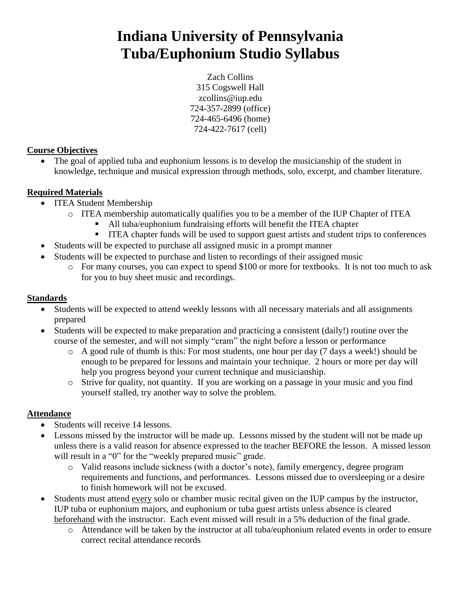# **Indiana University of Pennsylvania Tuba/Euphonium Studio Syllabus**

Zach Collins 315 Cogswell Hall zcollins@iup.edu 724-357-2899 (office) 724-465-6496 (home) 724-422-7617 (cell)

## **Course Objectives**

• The goal of applied tuba and euphonium lessons is to develop the musicianship of the student in knowledge, technique and musical expression through methods, solo, excerpt, and chamber literature.

# **Required Materials**

- ITEA Student Membership
	- o ITEA membership automatically qualifies you to be a member of the IUP Chapter of ITEA
		- All tuba/euphonium fundraising efforts will benefit the ITEA chapter
		- ITEA chapter funds will be used to support guest artists and student trips to conferences
- Students will be expected to purchase all assigned music in a prompt manner
- Students will be expected to purchase and listen to recordings of their assigned music
	- o For many courses, you can expect to spend \$100 or more for textbooks. It is not too much to ask for you to buy sheet music and recordings.

## **Standards**

- Students will be expected to attend weekly lessons with all necessary materials and all assignments prepared
- Students will be expected to make preparation and practicing a consistent (daily!) routine over the course of the semester, and will not simply "cram" the night before a lesson or performance
	- o A good rule of thumb is this: For most students, one hour per day (7 days a week!) should be enough to be prepared for lessons and maintain your technique. 2 hours or more per day will help you progress beyond your current technique and musicianship.
	- o Strive for quality, not quantity. If you are working on a passage in your music and you find yourself stalled, try another way to solve the problem.

# **Attendance**

- Students will receive 14 lessons.
- Lessons missed by the instructor will be made up. Lessons missed by the student will not be made up unless there is a valid reason for absence expressed to the teacher BEFORE the lesson. A missed lesson will result in a "0" for the "weekly prepared music" grade.
	- o Valid reasons include sickness (with a doctor"s note), family emergency, degree program requirements and functions, and performances. Lessons missed due to oversleeping or a desire to finish homework will not be excused.
- Students must attend every solo or chamber music recital given on the IUP campus by the instructor, IUP tuba or euphonium majors, and euphonium or tuba guest artists unless absence is cleared beforehand with the instructor. Each event missed will result in a 5% deduction of the final grade.
	- o Attendance will be taken by the instructor at all tuba/euphonium related events in order to ensure correct recital attendance records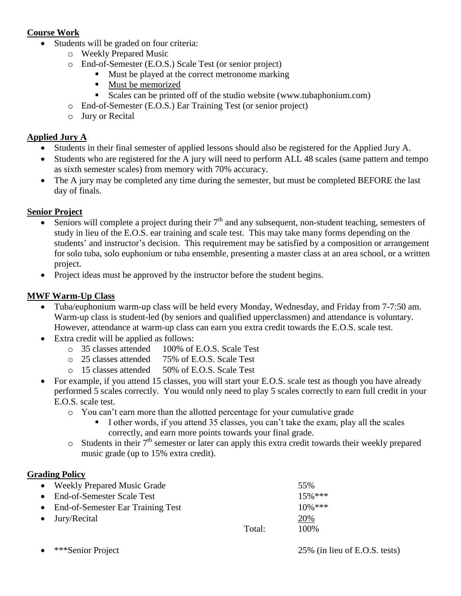## **Course Work**

- Students will be graded on four criteria:
	- o Weekly Prepared Music
	- o End-of-Semester (E.O.S.) Scale Test (or senior project)
		- Must be played at the correct metronome marking
		- Must be memorized
		- Scales can be printed off of the studio website (www.tubaphonium.com)
	- o End-of-Semester (E.O.S.) Ear Training Test (or senior project)
	- o Jury or Recital

## **Applied Jury A**

- Students in their final semester of applied lessons should also be registered for the Applied Jury A.
- Students who are registered for the A jury will need to perform ALL 48 scales (same pattern and tempo as sixth semester scales) from memory with 70% accuracy.
- The A jury may be completed any time during the semester, but must be completed BEFORE the last day of finals.

## **Senior Project**

- Seniors will complete a project during their  $7<sup>th</sup>$  and any subsequent, non-student teaching, semesters of study in lieu of the E.O.S. ear training and scale test. This may take many forms depending on the students' and instructor's decision. This requirement may be satisfied by a composition or arrangement for solo tuba, solo euphonium or tuba ensemble, presenting a master class at an area school, or a written project.
- Project ideas must be approved by the instructor before the student begins.

## **MWF Warm-Up Class**

- Tuba/euphonium warm-up class will be held every Monday, Wednesday, and Friday from 7-7:50 am. Warm-up class is student-led (by seniors and qualified upperclassmen) and attendance is voluntary. However, attendance at warm-up class can earn you extra credit towards the E.O.S. scale test.
- Extra credit will be applied as follows:
	- o 35 classes attended 100% of E.O.S. Scale Test
	- o 25 classes attended 75% of E.O.S. Scale Test
	- o 15 classes attended 50% of E.O.S. Scale Test
- For example, if you attend 15 classes, you will start your E.O.S. scale test as though you have already performed 5 scales correctly. You would only need to play 5 scales correctly to earn full credit in your E.O.S. scale test.
	- o You can"t earn more than the allotted percentage for your cumulative grade
		- I other words, if you attend 35 classes, you can"t take the exam, play all the scales correctly, and earn more points towards your final grade.
	- $\circ$  Students in their  $7<sup>th</sup>$  semester or later can apply this extra credit towards their weekly prepared music grade (up to 15% extra credit).

## **Grading Policy**

| • Weekly Prepared Music Grade       |        | 55%        |
|-------------------------------------|--------|------------|
| • End-of-Semester Scale Test        |        | $15\%$ *** |
| • End-of-Semester Ear Training Test |        | $10\%$ *** |
| $\bullet$ Jury/Recital              |        | 20%        |
|                                     | Total: | 100\%      |
|                                     |        |            |

\*\*\*Senior Project 25% (in lieu of E.O.S. tests)